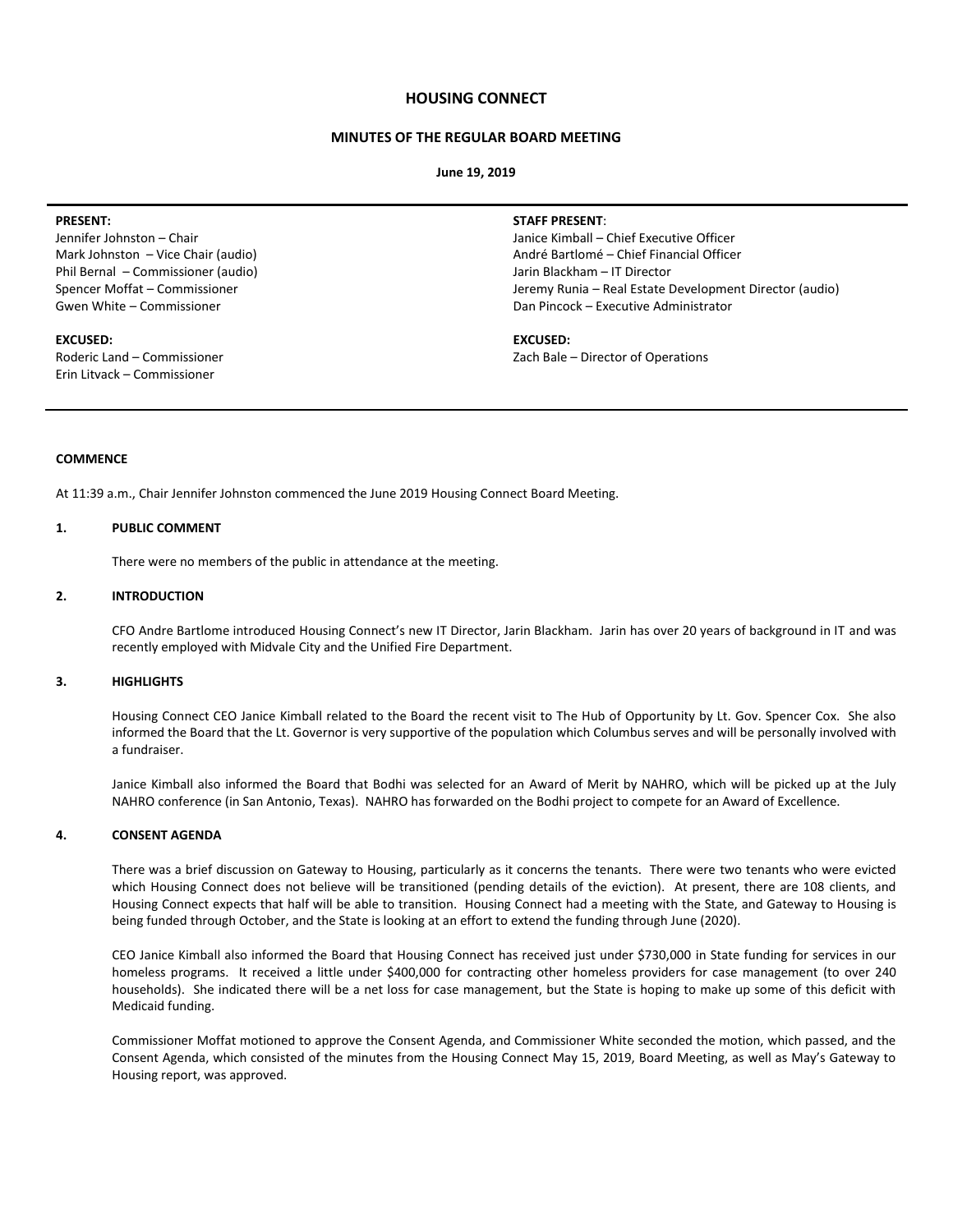## **HOUSING CONNECT**

# **MINUTES OF THE REGULAR BOARD MEETING**

**June 19, 2019**

#### **PRESENT:**

Jennifer Johnston – Chair Mark Johnston – Vice Chair (audio) Phil Bernal – Commissioner (audio) Spencer Moffat – Commissioner Gwen White – Commissioner

### **EXCUSED:**

Roderic Land – Commissioner Erin Litvack – Commissioner

#### **STAFF PRESENT**:

Janice Kimball – Chief Executive Officer André Bartlomé – Chief Financial Officer Jarin Blackham – IT Director Jeremy Runia – Real Estate Development Director (audio) Dan Pincock – Executive Administrator

## **EXCUSED:**

Zach Bale – Director of Operations

# **COMMENCE**

At 11:39 a.m., Chair Jennifer Johnston commenced the June 2019 Housing Connect Board Meeting.

### **1. PUBLIC COMMENT**

There were no members of the public in attendance at the meeting.

# **2. INTRODUCTION**

CFO Andre Bartlome introduced Housing Connect's new IT Director, Jarin Blackham. Jarin has over 20 years of background in IT and was recently employed with Midvale City and the Unified Fire Department.

#### **3. HIGHLIGHTS**

Housing Connect CEO Janice Kimball related to the Board the recent visit to The Hub of Opportunity by Lt. Gov. Spencer Cox. She also informed the Board that the Lt. Governor is very supportive of the population which Columbus serves and will be personally involved with a fundraiser.

Janice Kimball also informed the Board that Bodhi was selected for an Award of Merit by NAHRO, which will be picked up at the July NAHRO conference (in San Antonio, Texas). NAHRO has forwarded on the Bodhi project to compete for an Award of Excellence.

#### **4. CONSENT AGENDA**

There was a brief discussion on Gateway to Housing, particularly as it concerns the tenants. There were two tenants who were evicted which Housing Connect does not believe will be transitioned (pending details of the eviction). At present, there are 108 clients, and Housing Connect expects that half will be able to transition. Housing Connect had a meeting with the State, and Gateway to Housing is being funded through October, and the State is looking at an effort to extend the funding through June (2020).

CEO Janice Kimball also informed the Board that Housing Connect has received just under \$730,000 in State funding for services in our homeless programs. It received a little under \$400,000 for contracting other homeless providers for case management (to over 240 households). She indicated there will be a net loss for case management, but the State is hoping to make up some of this deficit with Medicaid funding.

Commissioner Moffat motioned to approve the Consent Agenda, and Commissioner White seconded the motion, which passed, and the Consent Agenda, which consisted of the minutes from the Housing Connect May 15, 2019, Board Meeting, as well as May's Gateway to Housing report, was approved.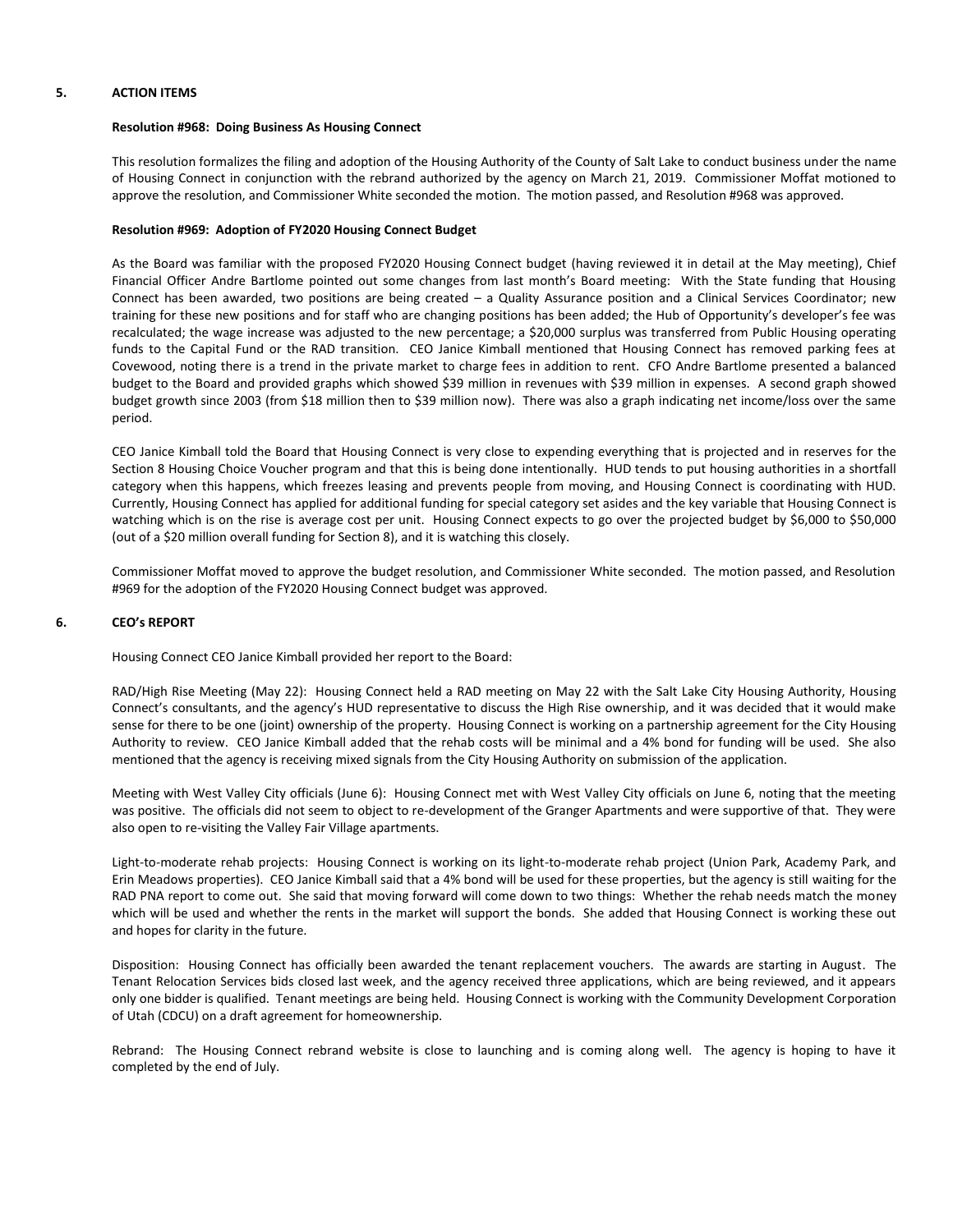## **5. ACTION ITEMS**

### **Resolution #968: Doing Business As Housing Connect**

This resolution formalizes the filing and adoption of the Housing Authority of the County of Salt Lake to conduct business under the name of Housing Connect in conjunction with the rebrand authorized by the agency on March 21, 2019. Commissioner Moffat motioned to approve the resolution, and Commissioner White seconded the motion. The motion passed, and Resolution #968 was approved.

## **Resolution #969: Adoption of FY2020 Housing Connect Budget**

As the Board was familiar with the proposed FY2020 Housing Connect budget (having reviewed it in detail at the May meeting), Chief Financial Officer Andre Bartlome pointed out some changes from last month's Board meeting: With the State funding that Housing Connect has been awarded, two positions are being created – a Quality Assurance position and a Clinical Services Coordinator; new training for these new positions and for staff who are changing positions has been added; the Hub of Opportunity's developer's fee was recalculated; the wage increase was adjusted to the new percentage; a \$20,000 surplus was transferred from Public Housing operating funds to the Capital Fund or the RAD transition. CEO Janice Kimball mentioned that Housing Connect has removed parking fees at Covewood, noting there is a trend in the private market to charge fees in addition to rent. CFO Andre Bartlome presented a balanced budget to the Board and provided graphs which showed \$39 million in revenues with \$39 million in expenses. A second graph showed budget growth since 2003 (from \$18 million then to \$39 million now). There was also a graph indicating net income/loss over the same period.

CEO Janice Kimball told the Board that Housing Connect is very close to expending everything that is projected and in reserves for the Section 8 Housing Choice Voucher program and that this is being done intentionally. HUD tends to put housing authorities in a shortfall category when this happens, which freezes leasing and prevents people from moving, and Housing Connect is coordinating with HUD. Currently, Housing Connect has applied for additional funding for special category set asides and the key variable that Housing Connect is watching which is on the rise is average cost per unit. Housing Connect expects to go over the projected budget by \$6,000 to \$50,000 (out of a \$20 million overall funding for Section 8), and it is watching this closely.

Commissioner Moffat moved to approve the budget resolution, and Commissioner White seconded. The motion passed, and Resolution #969 for the adoption of the FY2020 Housing Connect budget was approved.

### **6. CEO's REPORT**

Housing Connect CEO Janice Kimball provided her report to the Board:

RAD/High Rise Meeting (May 22): Housing Connect held a RAD meeting on May 22 with the Salt Lake City Housing Authority, Housing Connect's consultants, and the agency's HUD representative to discuss the High Rise ownership, and it was decided that it would make sense for there to be one (joint) ownership of the property. Housing Connect is working on a partnership agreement for the City Housing Authority to review. CEO Janice Kimball added that the rehab costs will be minimal and a 4% bond for funding will be used. She also mentioned that the agency is receiving mixed signals from the City Housing Authority on submission of the application.

Meeting with West Valley City officials (June 6): Housing Connect met with West Valley City officials on June 6, noting that the meeting was positive. The officials did not seem to object to re-development of the Granger Apartments and were supportive of that. They were also open to re-visiting the Valley Fair Village apartments.

Light-to-moderate rehab projects: Housing Connect is working on its light-to-moderate rehab project (Union Park, Academy Park, and Erin Meadows properties). CEO Janice Kimball said that a 4% bond will be used for these properties, but the agency is still waiting for the RAD PNA report to come out. She said that moving forward will come down to two things: Whether the rehab needs match the money which will be used and whether the rents in the market will support the bonds. She added that Housing Connect is working these out and hopes for clarity in the future.

Disposition: Housing Connect has officially been awarded the tenant replacement vouchers. The awards are starting in August. The Tenant Relocation Services bids closed last week, and the agency received three applications, which are being reviewed, and it appears only one bidder is qualified. Tenant meetings are being held. Housing Connect is working with the Community Development Corporation of Utah (CDCU) on a draft agreement for homeownership.

Rebrand: The Housing Connect rebrand website is close to launching and is coming along well. The agency is hoping to have it completed by the end of July.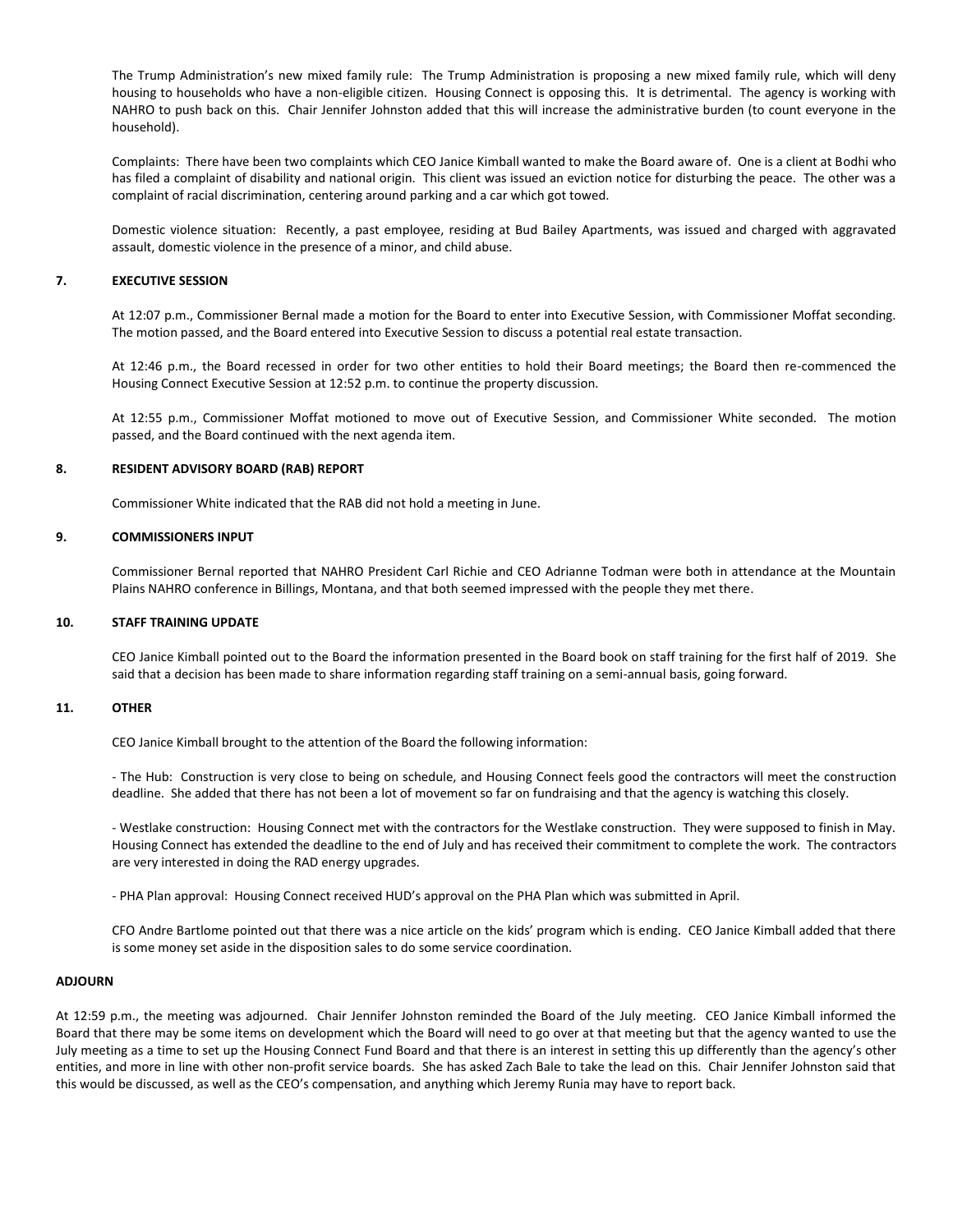The Trump Administration's new mixed family rule: The Trump Administration is proposing a new mixed family rule, which will deny housing to households who have a non-eligible citizen. Housing Connect is opposing this. It is detrimental. The agency is working with NAHRO to push back on this. Chair Jennifer Johnston added that this will increase the administrative burden (to count everyone in the household).

Complaints: There have been two complaints which CEO Janice Kimball wanted to make the Board aware of. One is a client at Bodhi who has filed a complaint of disability and national origin. This client was issued an eviction notice for disturbing the peace. The other was a complaint of racial discrimination, centering around parking and a car which got towed.

Domestic violence situation: Recently, a past employee, residing at Bud Bailey Apartments, was issued and charged with aggravated assault, domestic violence in the presence of a minor, and child abuse.

## **7. EXECUTIVE SESSION**

At 12:07 p.m., Commissioner Bernal made a motion for the Board to enter into Executive Session, with Commissioner Moffat seconding. The motion passed, and the Board entered into Executive Session to discuss a potential real estate transaction.

At 12:46 p.m., the Board recessed in order for two other entities to hold their Board meetings; the Board then re-commenced the Housing Connect Executive Session at 12:52 p.m. to continue the property discussion.

At 12:55 p.m., Commissioner Moffat motioned to move out of Executive Session, and Commissioner White seconded. The motion passed, and the Board continued with the next agenda item.

## **8. RESIDENT ADVISORY BOARD (RAB) REPORT**

Commissioner White indicated that the RAB did not hold a meeting in June.

## **9. COMMISSIONERS INPUT**

Commissioner Bernal reported that NAHRO President Carl Richie and CEO Adrianne Todman were both in attendance at the Mountain Plains NAHRO conference in Billings, Montana, and that both seemed impressed with the people they met there.

#### **10. STAFF TRAINING UPDATE**

CEO Janice Kimball pointed out to the Board the information presented in the Board book on staff training for the first half of 2019. She said that a decision has been made to share information regarding staff training on a semi-annual basis, going forward.

### **11. OTHER**

CEO Janice Kimball brought to the attention of the Board the following information:

- The Hub: Construction is very close to being on schedule, and Housing Connect feels good the contractors will meet the construction deadline. She added that there has not been a lot of movement so far on fundraising and that the agency is watching this closely.

- Westlake construction: Housing Connect met with the contractors for the Westlake construction. They were supposed to finish in May. Housing Connect has extended the deadline to the end of July and has received their commitment to complete the work. The contractors are very interested in doing the RAD energy upgrades.

- PHA Plan approval: Housing Connect received HUD's approval on the PHA Plan which was submitted in April.

CFO Andre Bartlome pointed out that there was a nice article on the kids' program which is ending. CEO Janice Kimball added that there is some money set aside in the disposition sales to do some service coordination.

#### **ADJOURN**

At 12:59 p.m., the meeting was adjourned. Chair Jennifer Johnston reminded the Board of the July meeting. CEO Janice Kimball informed the Board that there may be some items on development which the Board will need to go over at that meeting but that the agency wanted to use the July meeting as a time to set up the Housing Connect Fund Board and that there is an interest in setting this up differently than the agency's other entities, and more in line with other non-profit service boards. She has asked Zach Bale to take the lead on this. Chair Jennifer Johnston said that this would be discussed, as well as the CEO's compensation, and anything which Jeremy Runia may have to report back.